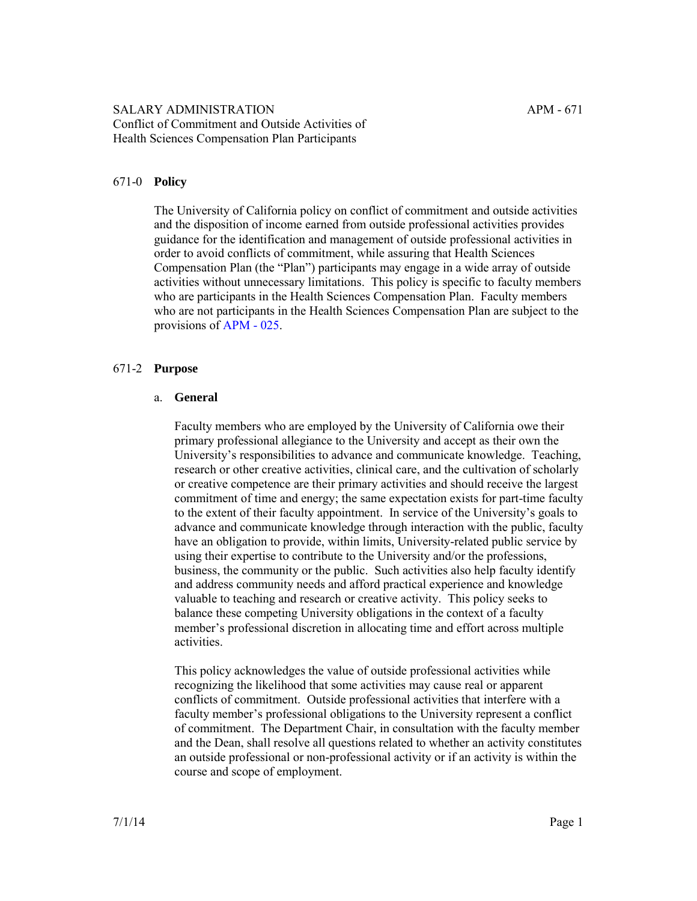#### 671-0 **Policy**

The University of California policy on conflict of commitment and outside activities and the disposition of income earned from outside professional activities provides guidance for the identification and management of outside professional activities in order to avoid conflicts of commitment, while assuring that Health Sciences Compensation Plan (the "Plan") participants may engage in a wide array of outside activities without unnecessary limitations. This policy is specific to faculty members who are participants in the Health Sciences Compensation Plan. Faculty members who are not participants in the Health Sciences Compensation Plan are subject to the provisions of [APM - 025.](http://ucop.edu/academic-personnel-programs/_files/apm/apm-025-07-01.pdf)

#### 671-2 **Purpose**

#### a. **General**

Faculty members who are employed by the University of California owe their primary professional allegiance to the University and accept as their own the University's responsibilities to advance and communicate knowledge. Teaching, research or other creative activities, clinical care, and the cultivation of scholarly or creative competence are their primary activities and should receive the largest commitment of time and energy; the same expectation exists for part-time faculty to the extent of their faculty appointment. In service of the University's goals to advance and communicate knowledge through interaction with the public, faculty have an obligation to provide, within limits, University-related public service by using their expertise to contribute to the University and/or the professions, business, the community or the public. Such activities also help faculty identify and address community needs and afford practical experience and knowledge valuable to teaching and research or creative activity. This policy seeks to balance these competing University obligations in the context of a faculty member's professional discretion in allocating time and effort across multiple activities.

This policy acknowledges the value of outside professional activities while recognizing the likelihood that some activities may cause real or apparent conflicts of commitment. Outside professional activities that interfere with a faculty member's professional obligations to the University represent a conflict of commitment. The Department Chair, in consultation with the faculty member and the Dean, shall resolve all questions related to whether an activity constitutes an outside professional or non-professional activity or if an activity is within the course and scope of employment.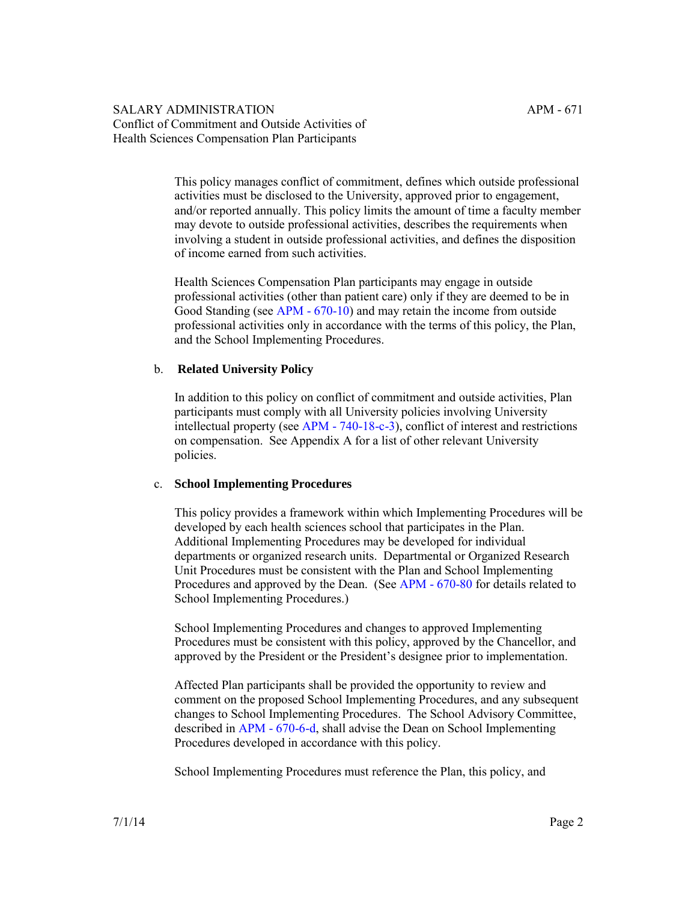> This policy manages conflict of commitment, defines which outside professional activities must be disclosed to the University, approved prior to engagement, and/or reported annually. This policy limits the amount of time a faculty member may devote to outside professional activities, describes the requirements when involving a student in outside professional activities, and defines the disposition of income earned from such activities.

Health Sciences Compensation Plan participants may engage in outside professional activities (other than patient care) only if they are deemed to be in Good Standing (see [APM - 670-10](http://ucop.edu/academic-personnel-programs/_files/apm/apm-670.pdf)) and may retain the income from outside professional activities only in accordance with the terms of this policy, the Plan, and the School Implementing Procedures.

#### b. **Related University Policy**

In addition to this policy on conflict of commitment and outside activities, Plan participants must comply with all University policies involving University intellectual property (see [APM - 740-18-c-3\)](http://ucop.edu/academic-personnel-programs/_files/apm/apm-740.pdf), conflict of interest and restrictions on compensation. See Appendix A for a list of other relevant University policies.

#### c. **School Implementing Procedures**

This policy provides a framework within which Implementing Procedures will be developed by each health sciences school that participates in the Plan. Additional Implementing Procedures may be developed for individual departments or organized research units. Departmental or Organized Research Unit Procedures must be consistent with the Plan and School Implementing Procedures and approved by the Dean. (See [APM - 670-80](http://ucop.edu/academic-personnel-programs/_files/apm/apm-670.pdf) for details related to School Implementing Procedures.)

School Implementing Procedures and changes to approved Implementing Procedures must be consistent with this policy, approved by the Chancellor, and approved by the President or the President's designee prior to implementation.

Affected Plan participants shall be provided the opportunity to review and comment on the proposed School Implementing Procedures, and any subsequent changes to School Implementing Procedures. The School Advisory Committee, described in [APM - 670-6-d,](http://ucop.edu/academic-personnel-programs/_files/apm/apm-670.pdf) shall advise the Dean on School Implementing Procedures developed in accordance with this policy.

School Implementing Procedures must reference the Plan, this policy, and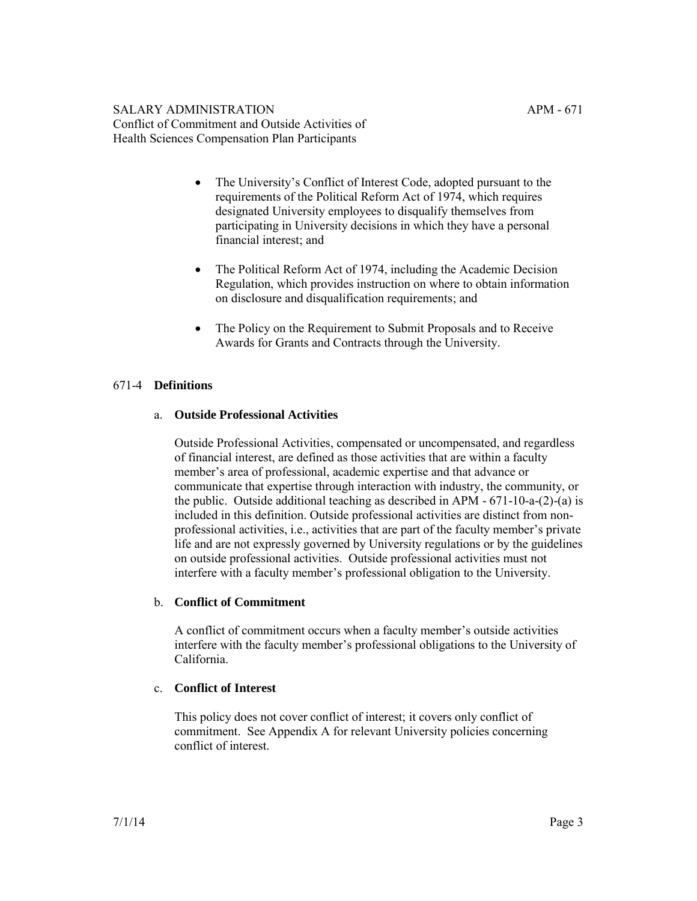- The University's Conflict of Interest Code, adopted pursuant to the requirements of the Political Reform Act of 1974, which requires designated University employees to disqualify themselves from participating in University decisions in which they have a personal financial interest; and
- The Political Reform Act of 1974, including the Academic Decision Regulation, which provides instruction on where to obtain information on disclosure and disqualification requirements; and
- The Policy on the Requirement to Submit Proposals and to Receive Awards for Grants and Contracts through the University.

# 671-4 **Definitions**

# a. **Outside Professional Activities**

Outside Professional Activities, compensated or uncompensated, and regardless of financial interest, are defined as those activities that are within a faculty member's area of professional, academic expertise and that advance or communicate that expertise through interaction with industry, the community, or the public. Outside additional teaching as described in APM - 671-10-a-(2)-(a) is included in this definition. Outside professional activities are distinct from nonprofessional activities, i.e., activities that are part of the faculty member's private life and are not expressly governed by University regulations or by the guidelines on outside professional activities. Outside professional activities must not interfere with a faculty member's professional obligation to the University.

# b. **Conflict of Commitment**

A conflict of commitment occurs when a faculty member's outside activities interfere with the faculty member's professional obligations to the University of California.

# c. **Conflict of Interest**

This policy does not cover conflict of interest; it covers only conflict of commitment. See Appendix A for relevant University policies concerning conflict of interest.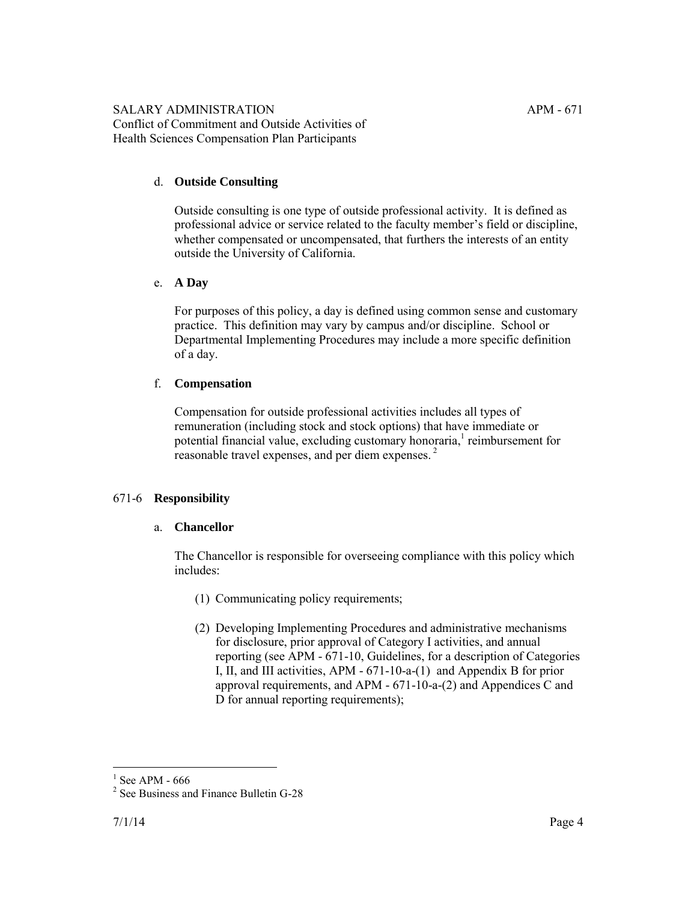# d. **Outside Consulting**

Outside consulting is one type of outside professional activity. It is defined as professional advice or service related to the faculty member's field or discipline, whether compensated or uncompensated, that furthers the interests of an entity outside the University of California.

# e. **A Day**

For purposes of this policy, a day is defined using common sense and customary practice. This definition may vary by campus and/or discipline. School or Departmental Implementing Procedures may include a more specific definition of a day.

# f. **Compensation**

Compensation for outside professional activities includes all types of remuneration (including stock and stock options) that have immediate or potential financial value, excluding customary honoraria,<sup>1</sup> reimbursement for reasonable travel expenses, and per diem expenses. <sup>2</sup>

# 671-6 **Responsibility**

# a. **Chancellor**

The Chancellor is responsible for overseeing compliance with this policy which includes:

- (1) Communicating policy requirements;
- (2) Developing Implementing Procedures and administrative mechanisms for disclosure, prior approval of Category I activities, and annual reporting (see APM - 671-10, Guidelines, for a description of Categories I, II, and III activities, APM - 671-10-a-(1) and Appendix B for prior approval requirements, and APM - 671-10-a-(2) and Appendices C and D for annual reporting requirements);

 $\overline{a}$ 1 See APM - 666

<sup>&</sup>lt;sup>2</sup> See Business and Finance Bulletin G-28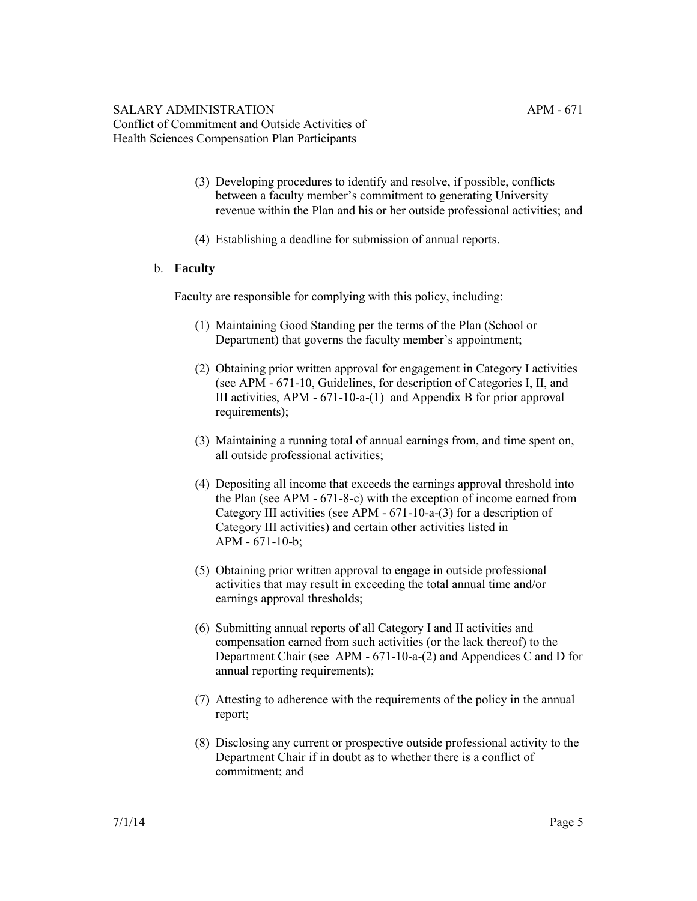- (3) Developing procedures to identify and resolve, if possible, conflicts between a faculty member's commitment to generating University revenue within the Plan and his or her outside professional activities; and
- (4) Establishing a deadline for submission of annual reports.

#### b. **Faculty**

Faculty are responsible for complying with this policy, including:

- (1) Maintaining Good Standing per the terms of the Plan (School or Department) that governs the faculty member's appointment;
- (2) Obtaining prior written approval for engagement in Category I activities (see APM - 671-10, Guidelines, for description of Categories I, II, and III activities, APM - 671-10-a-(1) and Appendix B for prior approval requirements);
- (3) Maintaining a running total of annual earnings from, and time spent on, all outside professional activities;
- (4) Depositing all income that exceeds the earnings approval threshold into the Plan (see APM - 671-8-c) with the exception of income earned from Category III activities (see APM - 671-10-a-(3) for a description of Category III activities) and certain other activities listed in APM - 671-10-b;
- (5) Obtaining prior written approval to engage in outside professional activities that may result in exceeding the total annual time and/or earnings approval thresholds;
- (6) Submitting annual reports of all Category I and II activities and compensation earned from such activities (or the lack thereof) to the Department Chair (see APM - 671-10-a-(2) and Appendices C and D for annual reporting requirements);
- (7) Attesting to adherence with the requirements of the policy in the annual report;
- (8) Disclosing any current or prospective outside professional activity to the Department Chair if in doubt as to whether there is a conflict of commitment; and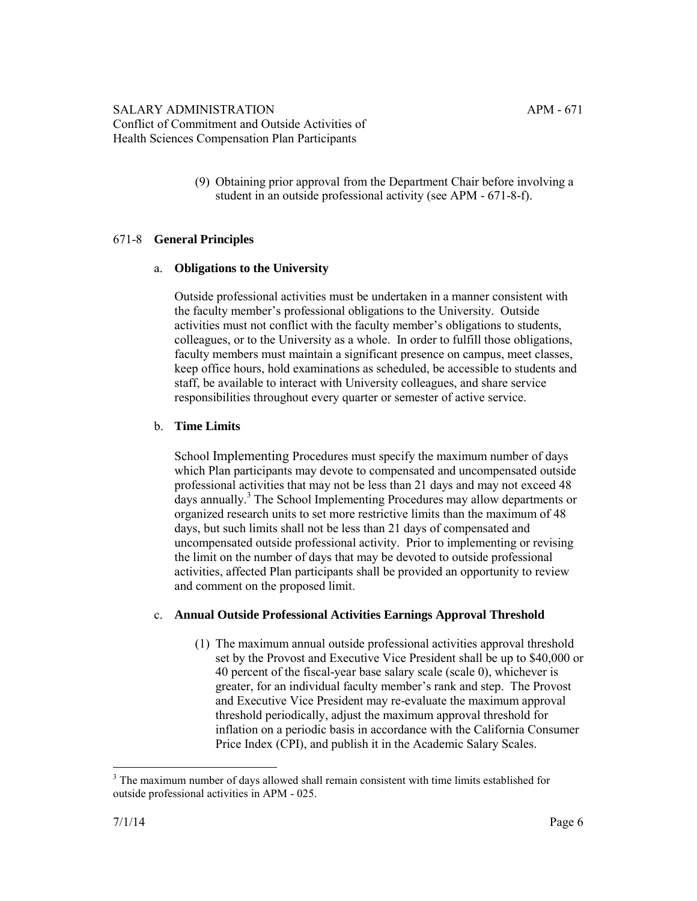(9) Obtaining prior approval from the Department Chair before involving a student in an outside professional activity (see APM - 671-8-f).

# 671-8 **General Principles**

# a. **Obligations to the University**

Outside professional activities must be undertaken in a manner consistent with the faculty member's professional obligations to the University. Outside activities must not conflict with the faculty member's obligations to students, colleagues, or to the University as a whole. In order to fulfill those obligations, faculty members must maintain a significant presence on campus, meet classes, keep office hours, hold examinations as scheduled, be accessible to students and staff, be available to interact with University colleagues, and share service responsibilities throughout every quarter or semester of active service.

# b. **Time Limits**

School Implementing Procedures must specify the maximum number of days which Plan participants may devote to compensated and uncompensated outside professional activities that may not be less than 21 days and may not exceed 48 days annually.<sup>3</sup> The School Implementing Procedures may allow departments or organized research units to set more restrictive limits than the maximum of 48 days, but such limits shall not be less than 21 days of compensated and uncompensated outside professional activity. Prior to implementing or revising the limit on the number of days that may be devoted to outside professional activities, affected Plan participants shall be provided an opportunity to review and comment on the proposed limit.

# c. **Annual Outside Professional Activities Earnings Approval Threshold**

(1) The maximum annual outside professional activities approval threshold set by the Provost and Executive Vice President shall be up to \$40,000 or 40 percent of the fiscal-year base salary scale (scale 0), whichever is greater, for an individual faculty member's rank and step. The Provost and Executive Vice President may re-evaluate the maximum approval threshold periodically, adjust the maximum approval threshold for inflation on a periodic basis in accordance with the California Consumer Price Index (CPI), and publish it in the Academic Salary Scales.

 $\overline{a}$  $3$  The maximum number of days allowed shall remain consistent with time limits established for outside professional activities in APM - 025.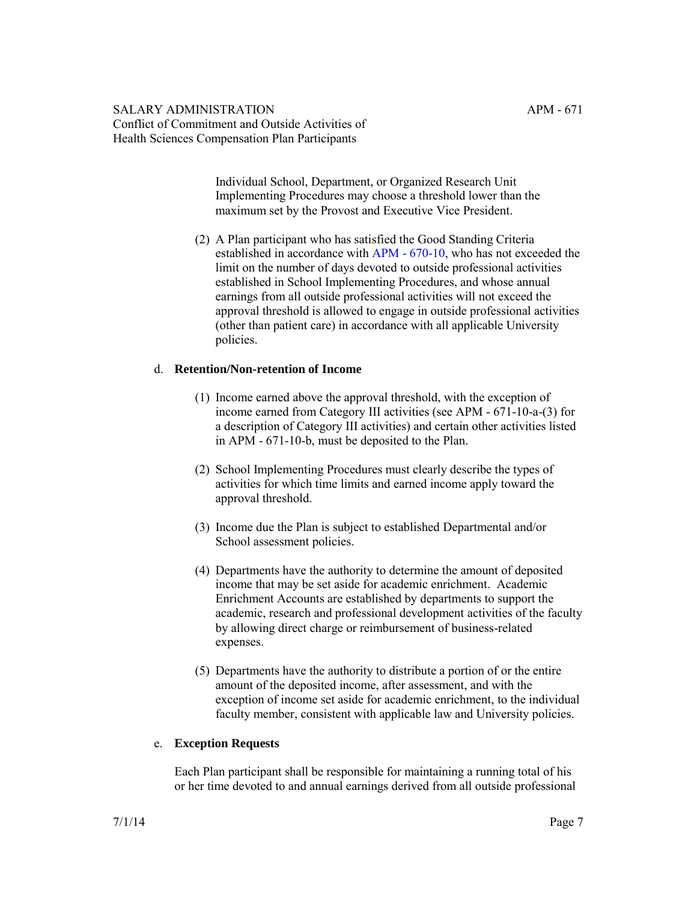Individual School, Department, or Organized Research Unit Implementing Procedures may choose a threshold lower than the maximum set by the Provost and Executive Vice President.

(2) A Plan participant who has satisfied the Good Standing Criteria established in accordance with [APM - 670-10,](http://ucop.edu/academic-personnel-programs/_files/apm/apm-670.pdf) who has not exceeded the limit on the number of days devoted to outside professional activities established in School Implementing Procedures, and whose annual earnings from all outside professional activities will not exceed the approval threshold is allowed to engage in outside professional activities (other than patient care) in accordance with all applicable University policies.

# d. **Retention/Non-retention of Income**

- (1) Income earned above the approval threshold, with the exception of income earned from Category III activities (see APM - 671-10-a-(3) for a description of Category III activities) and certain other activities listed in APM - 671-10-b, must be deposited to the Plan.
- (2) School Implementing Procedures must clearly describe the types of activities for which time limits and earned income apply toward the approval threshold.
- (3) Income due the Plan is subject to established Departmental and/or School assessment policies.
- (4) Departments have the authority to determine the amount of deposited income that may be set aside for academic enrichment. Academic Enrichment Accounts are established by departments to support the academic, research and professional development activities of the faculty by allowing direct charge or reimbursement of business-related expenses.
- (5) Departments have the authority to distribute a portion of or the entire amount of the deposited income, after assessment, and with the exception of income set aside for academic enrichment, to the individual faculty member, consistent with applicable law and University policies.

# e. **Exception Requests**

Each Plan participant shall be responsible for maintaining a running total of his or her time devoted to and annual earnings derived from all outside professional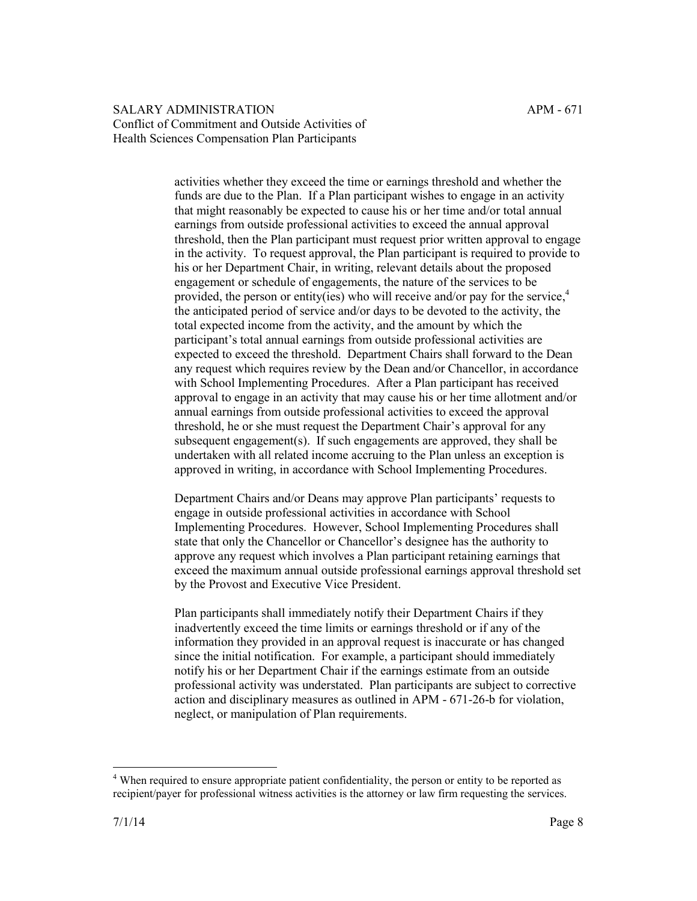activities whether they exceed the time or earnings threshold and whether the funds are due to the Plan. If a Plan participant wishes to engage in an activity that might reasonably be expected to cause his or her time and/or total annual earnings from outside professional activities to exceed the annual approval threshold, then the Plan participant must request prior written approval to engage in the activity. To request approval, the Plan participant is required to provide to his or her Department Chair, in writing, relevant details about the proposed engagement or schedule of engagements, the nature of the services to be provided, the person or entity(ies) who will receive and/or pay for the service, $4\overline{4}$ the anticipated period of service and/or days to be devoted to the activity, the total expected income from the activity, and the amount by which the participant's total annual earnings from outside professional activities are expected to exceed the threshold. Department Chairs shall forward to the Dean any request which requires review by the Dean and/or Chancellor, in accordance with School Implementing Procedures. After a Plan participant has received approval to engage in an activity that may cause his or her time allotment and/or annual earnings from outside professional activities to exceed the approval threshold, he or she must request the Department Chair's approval for any subsequent engagement(s). If such engagements are approved, they shall be undertaken with all related income accruing to the Plan unless an exception is approved in writing, in accordance with School Implementing Procedures.

Department Chairs and/or Deans may approve Plan participants' requests to engage in outside professional activities in accordance with School Implementing Procedures. However, School Implementing Procedures shall state that only the Chancellor or Chancellor's designee has the authority to approve any request which involves a Plan participant retaining earnings that exceed the maximum annual outside professional earnings approval threshold set by the Provost and Executive Vice President.

Plan participants shall immediately notify their Department Chairs if they inadvertently exceed the time limits or earnings threshold or if any of the information they provided in an approval request is inaccurate or has changed since the initial notification. For example, a participant should immediately notify his or her Department Chair if the earnings estimate from an outside professional activity was understated. Plan participants are subject to corrective action and disciplinary measures as outlined in APM - 671-26-b for violation, neglect, or manipulation of Plan requirements.

 $\overline{a}$ <sup>4</sup> When required to ensure appropriate patient confidentiality, the person or entity to be reported as recipient/payer for professional witness activities is the attorney or law firm requesting the services.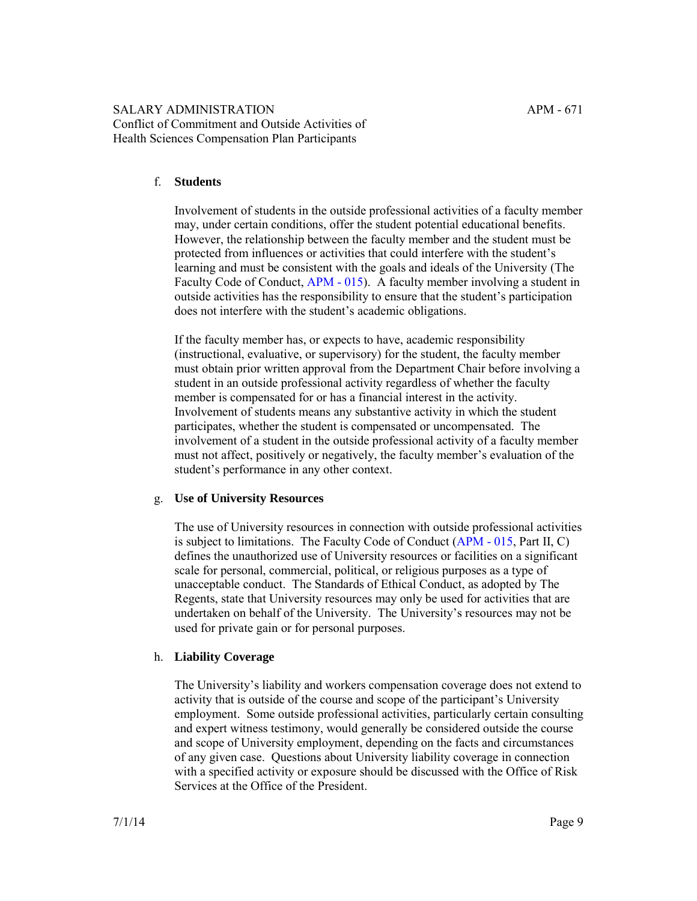# f. **Students**

Involvement of students in the outside professional activities of a faculty member may, under certain conditions, offer the student potential educational benefits. However, the relationship between the faculty member and the student must be protected from influences or activities that could interfere with the student's learning and must be consistent with the goals and ideals of the University (The Faculty Code of Conduct, [APM - 015\)](http://ucop.edu/academic-personnel-programs/_files/apm/apm-015.pdf). A faculty member involving a student in outside activities has the responsibility to ensure that the student's participation does not interfere with the student's academic obligations.

If the faculty member has, or expects to have, academic responsibility (instructional, evaluative, or supervisory) for the student, the faculty member must obtain prior written approval from the Department Chair before involving a student in an outside professional activity regardless of whether the faculty member is compensated for or has a financial interest in the activity. Involvement of students means any substantive activity in which the student participates, whether the student is compensated or uncompensated. The involvement of a student in the outside professional activity of a faculty member must not affect, positively or negatively, the faculty member's evaluation of the student's performance in any other context.

#### g. **Use of University Resources**

The use of University resources in connection with outside professional activities is subject to limitations. The Faculty Code of Conduct ([APM - 015,](http://ucop.edu/academic-personnel-programs/_files/apm/apm-015.pdf) Part II, C) defines the unauthorized use of University resources or facilities on a significant scale for personal, commercial, political, or religious purposes as a type of unacceptable conduct. The Standards of Ethical Conduct, as adopted by The Regents, state that University resources may only be used for activities that are undertaken on behalf of the University. The University's resources may not be used for private gain or for personal purposes.

# h. **Liability Coverage**

The University's liability and workers compensation coverage does not extend to activity that is outside of the course and scope of the participant's University employment. Some outside professional activities, particularly certain consulting and expert witness testimony, would generally be considered outside the course and scope of University employment, depending on the facts and circumstances of any given case. Questions about University liability coverage in connection with a specified activity or exposure should be discussed with the Office of Risk Services at the Office of the President.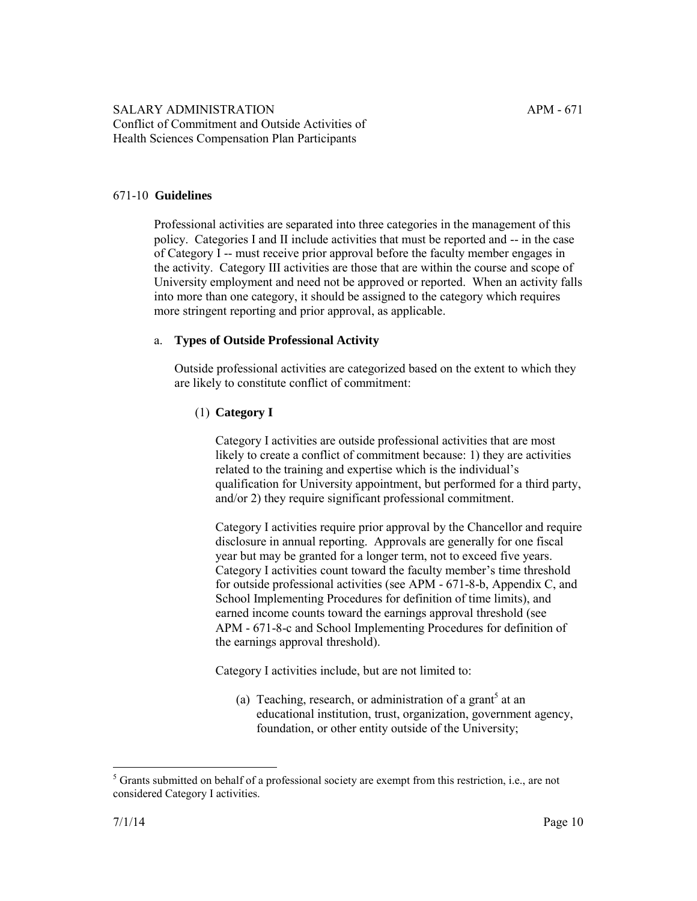#### 671-10 **Guidelines**

Professional activities are separated into three categories in the management of this policy. Categories I and II include activities that must be reported and -- in the case of Category I -- must receive prior approval before the faculty member engages in the activity. Category III activities are those that are within the course and scope of University employment and need not be approved or reported. When an activity falls into more than one category, it should be assigned to the category which requires more stringent reporting and prior approval, as applicable.

#### a. **Types of Outside Professional Activity**

Outside professional activities are categorized based on the extent to which they are likely to constitute conflict of commitment:

# (1) **Category I**

Category I activities are outside professional activities that are most likely to create a conflict of commitment because: 1) they are activities related to the training and expertise which is the individual's qualification for University appointment, but performed for a third party, and/or 2) they require significant professional commitment.

Category I activities require prior approval by the Chancellor and require disclosure in annual reporting. Approvals are generally for one fiscal year but may be granted for a longer term, not to exceed five years. Category I activities count toward the faculty member's time threshold for outside professional activities (see APM - 671-8-b, Appendix C, and School Implementing Procedures for definition of time limits), and earned income counts toward the earnings approval threshold (see APM - 671-8-c and School Implementing Procedures for definition of the earnings approval threshold).

Category I activities include, but are not limited to:

(a) Teaching, research, or administration of a grant<sup>5</sup> at an educational institution, trust, organization, government agency, foundation, or other entity outside of the University;

 $\overline{a}$ <sup>5</sup> Grants submitted on behalf of a professional society are exempt from this restriction, i.e., are not considered Category I activities.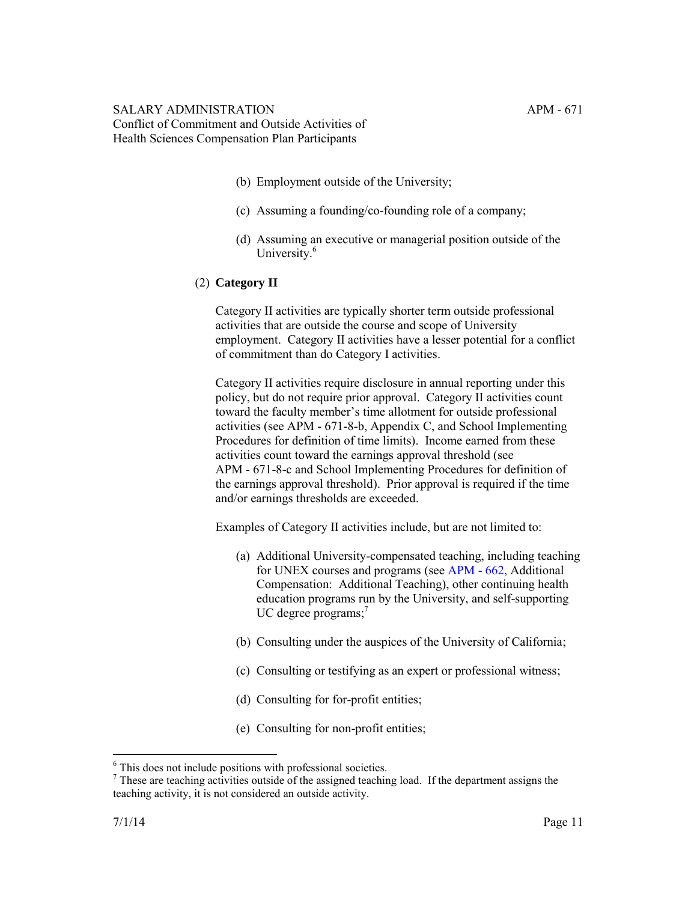- (b) Employment outside of the University;
- (c) Assuming a founding/co-founding role of a company;
- (d) Assuming an executive or managerial position outside of the University.<sup>6</sup>
- (2) **Category II**

Category II activities are typically shorter term outside professional activities that are outside the course and scope of University employment. Category II activities have a lesser potential for a conflict of commitment than do Category I activities.

Category II activities require disclosure in annual reporting under this policy, but do not require prior approval. Category II activities count toward the faculty member's time allotment for outside professional activities (see APM - 671-8-b, Appendix C, and School Implementing Procedures for definition of time limits). Income earned from these activities count toward the earnings approval threshold (see APM - 671-8-c and School Implementing Procedures for definition of the earnings approval threshold). Prior approval is required if the time and/or earnings thresholds are exceeded.

Examples of Category II activities include, but are not limited to:

- (a) Additional University-compensated teaching, including teaching for UNEX courses and programs (see [APM - 662](http://ucop.edu/academic-personnel-programs/_files/apm/apm-662.pdf), Additional Compensation: Additional Teaching), other continuing health education programs run by the University, and self-supporting UC degree programs;<sup>7</sup>
- (b) Consulting under the auspices of the University of California;
- (c) Consulting or testifying as an expert or professional witness;
- (d) Consulting for for-profit entities;
- (e) Consulting for non-profit entities;

 $\overline{a}$ 

<sup>6</sup> This does not include positions with professional societies.

 $<sup>7</sup>$  These are teaching activities outside of the assigned teaching load. If the department assigns the</sup> teaching activity, it is not considered an outside activity.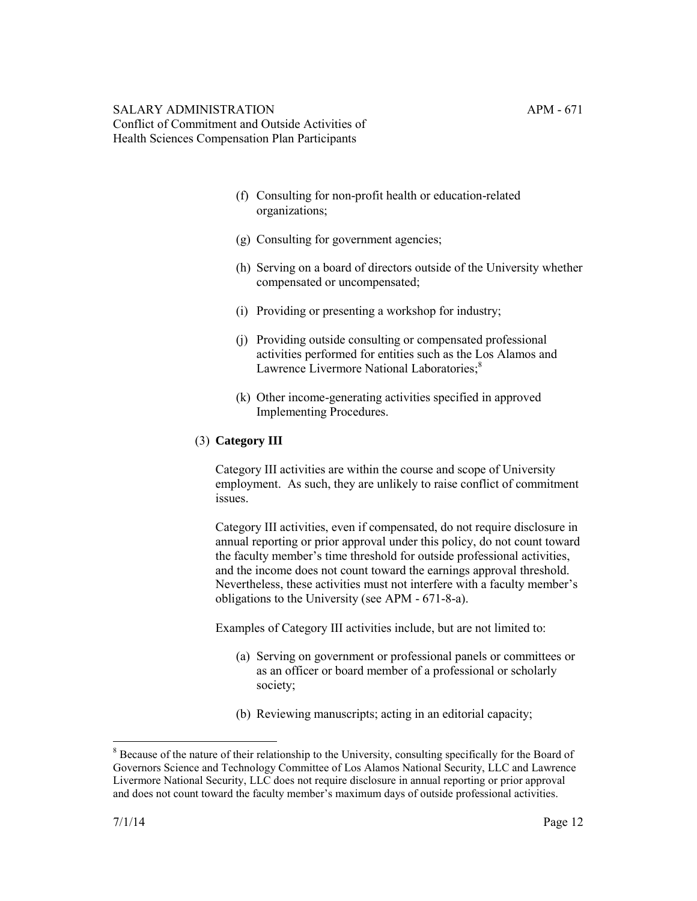- (f) Consulting for non-profit health or education-related organizations;
- (g) Consulting for government agencies;
- (h) Serving on a board of directors outside of the University whether compensated or uncompensated;
- (i) Providing or presenting a workshop for industry;
- (j) Providing outside consulting or compensated professional activities performed for entities such as the Los Alamos and Lawrence Livermore National Laboratories;<sup>8</sup>
- (k) Other income-generating activities specified in approved Implementing Procedures.

# (3) **Category III**

Category III activities are within the course and scope of University employment. As such, they are unlikely to raise conflict of commitment issues.

Category III activities, even if compensated, do not require disclosure in annual reporting or prior approval under this policy, do not count toward the faculty member's time threshold for outside professional activities, and the income does not count toward the earnings approval threshold. Nevertheless, these activities must not interfere with a faculty member's obligations to the University (see APM - 671-8-a).

Examples of Category III activities include, but are not limited to:

- (a) Serving on government or professional panels or committees or as an officer or board member of a professional or scholarly society;
- (b) Reviewing manuscripts; acting in an editorial capacity;

 $\overline{a}$ 

<sup>&</sup>lt;sup>8</sup> Because of the nature of their relationship to the University, consulting specifically for the Board of Governors Science and Technology Committee of Los Alamos National Security, LLC and Lawrence Livermore National Security, LLC does not require disclosure in annual reporting or prior approval and does not count toward the faculty member's maximum days of outside professional activities.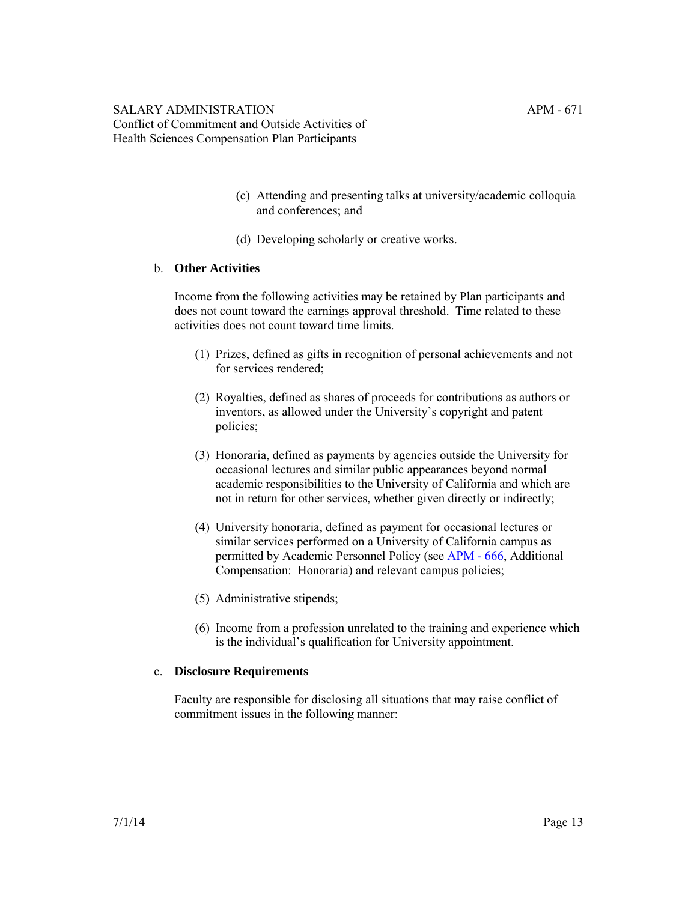- (c) Attending and presenting talks at university/academic colloquia and conferences; and
- (d) Developing scholarly or creative works.

#### b. **Other Activities**

Income from the following activities may be retained by Plan participants and does not count toward the earnings approval threshold. Time related to these activities does not count toward time limits.

- (1) Prizes, defined as gifts in recognition of personal achievements and not for services rendered;
- (2) Royalties, defined as shares of proceeds for contributions as authors or inventors, as allowed under the University's copyright and patent policies;
- (3) Honoraria, defined as payments by agencies outside the University for occasional lectures and similar public appearances beyond normal academic responsibilities to the University of California and which are not in return for other services, whether given directly or indirectly;
- (4) University honoraria, defined as payment for occasional lectures or similar services performed on a University of California campus as permitted by Academic Personnel Policy (see [APM - 666,](http://ucop.edu/academic-personnel-programs/_files/apm/apm-666.pdf) Additional Compensation: Honoraria) and relevant campus policies;
- (5) Administrative stipends;
- (6) Income from a profession unrelated to the training and experience which is the individual's qualification for University appointment.

#### c. **Disclosure Requirements**

Faculty are responsible for disclosing all situations that may raise conflict of commitment issues in the following manner: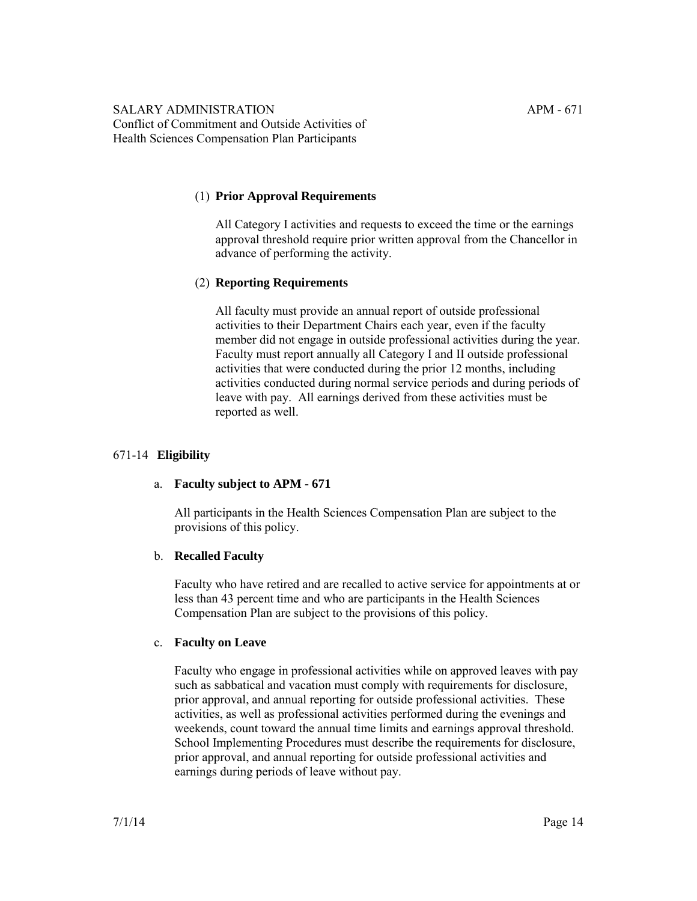# (1) **Prior Approval Requirements**

All Category I activities and requests to exceed the time or the earnings approval threshold require prior written approval from the Chancellor in advance of performing the activity.

#### (2) **Reporting Requirements**

All faculty must provide an annual report of outside professional activities to their Department Chairs each year, even if the faculty member did not engage in outside professional activities during the year. Faculty must report annually all Category I and II outside professional activities that were conducted during the prior 12 months, including activities conducted during normal service periods and during periods of leave with pay. All earnings derived from these activities must be reported as well.

#### 671-14 **Eligibility**

#### a. **Faculty subject to APM - 671**

All participants in the Health Sciences Compensation Plan are subject to the provisions of this policy.

#### b. **Recalled Faculty**

Faculty who have retired and are recalled to active service for appointments at or less than 43 percent time and who are participants in the Health Sciences Compensation Plan are subject to the provisions of this policy.

#### c. **Faculty on Leave**

Faculty who engage in professional activities while on approved leaves with pay such as sabbatical and vacation must comply with requirements for disclosure, prior approval, and annual reporting for outside professional activities. These activities, as well as professional activities performed during the evenings and weekends, count toward the annual time limits and earnings approval threshold. School Implementing Procedures must describe the requirements for disclosure, prior approval, and annual reporting for outside professional activities and earnings during periods of leave without pay.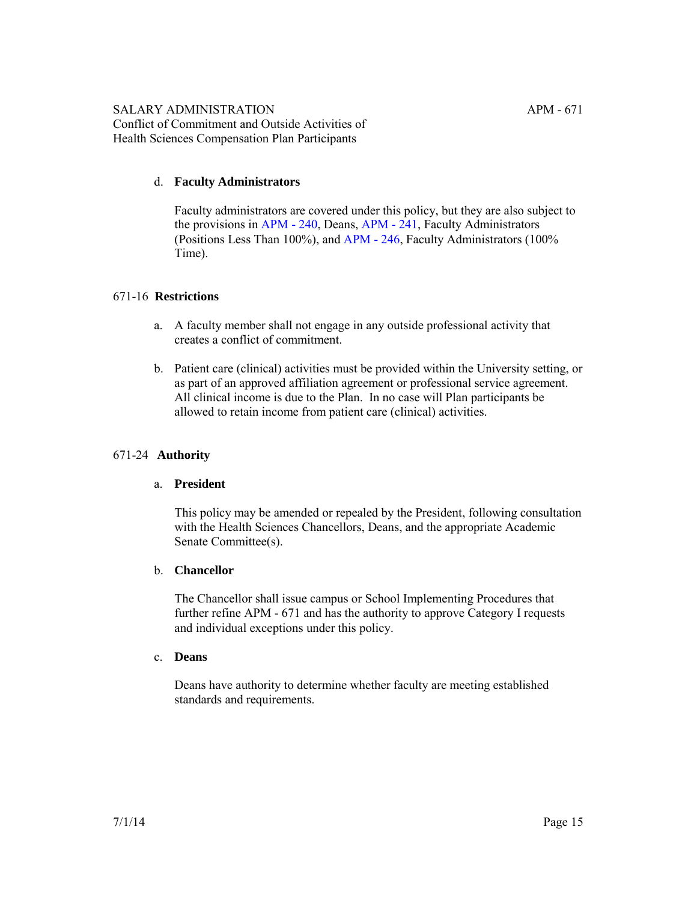# d. **Faculty Administrators**

Faculty administrators are covered under this policy, but they are also subject to the provisions in [APM - 240](http://ucop.edu/academic-personnel-programs/_files/apm/apm-240.pdf), Deans, [APM - 241](http://ucop.edu/academic-personnel-programs/_files/apm/apm-241.pdf), Faculty Administrators (Positions Less Than 100%), and [APM - 246](http://ucop.edu/academic-personnel-programs/_files/apm/apm-246.pdf), Faculty Administrators (100% Time).

# 671-16 **Restrictions**

- a. A faculty member shall not engage in any outside professional activity that creates a conflict of commitment.
- b. Patient care (clinical) activities must be provided within the University setting, or as part of an approved affiliation agreement or professional service agreement. All clinical income is due to the Plan. In no case will Plan participants be allowed to retain income from patient care (clinical) activities.

# 671-24 **Authority**

# a. **President**

This policy may be amended or repealed by the President, following consultation with the Health Sciences Chancellors, Deans, and the appropriate Academic Senate Committee(s).

# b. **Chancellor**

The Chancellor shall issue campus or School Implementing Procedures that further refine APM - 671 and has the authority to approve Category I requests and individual exceptions under this policy.

# c. **Deans**

Deans have authority to determine whether faculty are meeting established standards and requirements.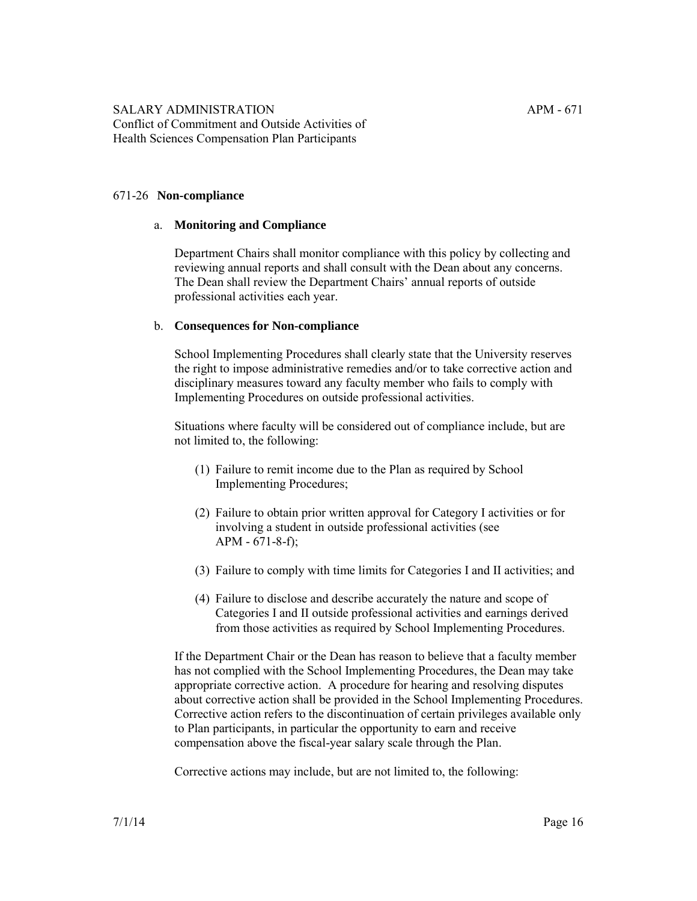#### 671-26 **Non-compliance**

#### a. **Monitoring and Compliance**

Department Chairs shall monitor compliance with this policy by collecting and reviewing annual reports and shall consult with the Dean about any concerns. The Dean shall review the Department Chairs' annual reports of outside professional activities each year.

#### b. **Consequences for Non-compliance**

School Implementing Procedures shall clearly state that the University reserves the right to impose administrative remedies and/or to take corrective action and disciplinary measures toward any faculty member who fails to comply with Implementing Procedures on outside professional activities.

Situations where faculty will be considered out of compliance include, but are not limited to, the following:

- (1) Failure to remit income due to the Plan as required by School Implementing Procedures;
- (2) Failure to obtain prior written approval for Category I activities or for involving a student in outside professional activities (see APM - 671-8-f);
- (3) Failure to comply with time limits for Categories I and II activities; and
- (4) Failure to disclose and describe accurately the nature and scope of Categories I and II outside professional activities and earnings derived from those activities as required by School Implementing Procedures.

If the Department Chair or the Dean has reason to believe that a faculty member has not complied with the School Implementing Procedures, the Dean may take appropriate corrective action. A procedure for hearing and resolving disputes about corrective action shall be provided in the School Implementing Procedures. Corrective action refers to the discontinuation of certain privileges available only to Plan participants, in particular the opportunity to earn and receive compensation above the fiscal-year salary scale through the Plan.

Corrective actions may include, but are not limited to, the following: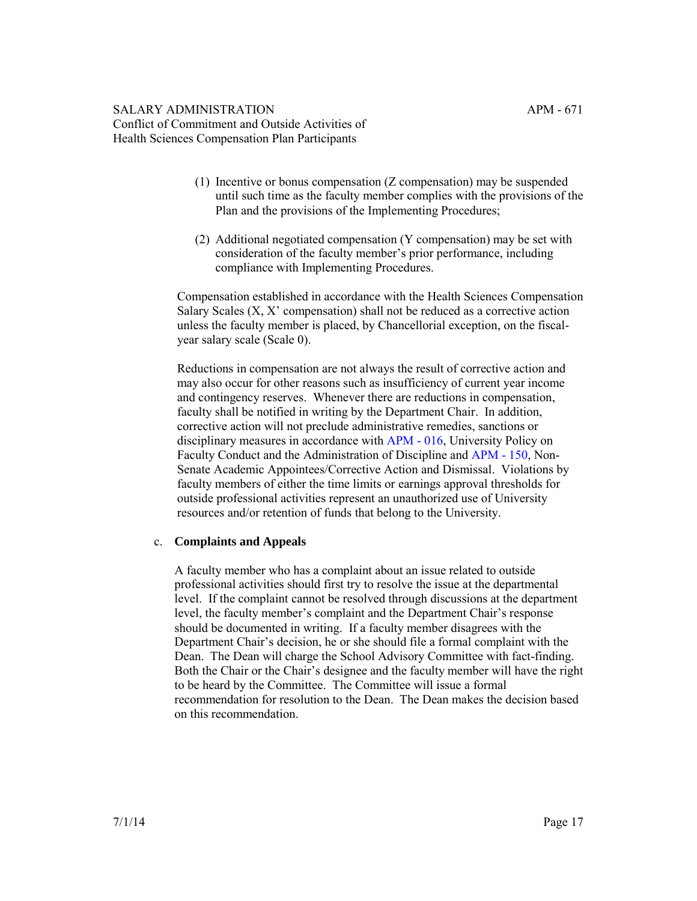- (1) Incentive or bonus compensation (Z compensation) may be suspended until such time as the faculty member complies with the provisions of the Plan and the provisions of the Implementing Procedures;
- (2) Additional negotiated compensation (Y compensation) may be set with consideration of the faculty member's prior performance, including compliance with Implementing Procedures.

Compensation established in accordance with the Health Sciences Compensation Salary Scales (X, X' compensation) shall not be reduced as a corrective action unless the faculty member is placed, by Chancellorial exception, on the fiscalyear salary scale (Scale 0).

Reductions in compensation are not always the result of corrective action and may also occur for other reasons such as insufficiency of current year income and contingency reserves. Whenever there are reductions in compensation, faculty shall be notified in writing by the Department Chair. In addition, corrective action will not preclude administrative remedies, sanctions or disciplinary measures in accordance with [APM - 016](http://ucop.edu/academic-personnel-programs/_files/apm/apm-016.pdf), University Policy on Faculty Conduct and the Administration of Discipline and [APM - 150,](http://ucop.edu/academic-personnel-programs/_files/apm/apm-150.pdf) Non-Senate Academic Appointees/Corrective Action and Dismissal. Violations by faculty members of either the time limits or earnings approval thresholds for outside professional activities represent an unauthorized use of University resources and/or retention of funds that belong to the University.

# c. **Complaints and Appeals**

A faculty member who has a complaint about an issue related to outside professional activities should first try to resolve the issue at the departmental level. If the complaint cannot be resolved through discussions at the department level, the faculty member's complaint and the Department Chair's response should be documented in writing. If a faculty member disagrees with the Department Chair's decision, he or she should file a formal complaint with the Dean. The Dean will charge the School Advisory Committee with fact-finding. Both the Chair or the Chair's designee and the faculty member will have the right to be heard by the Committee. The Committee will issue a formal recommendation for resolution to the Dean. The Dean makes the decision based on this recommendation.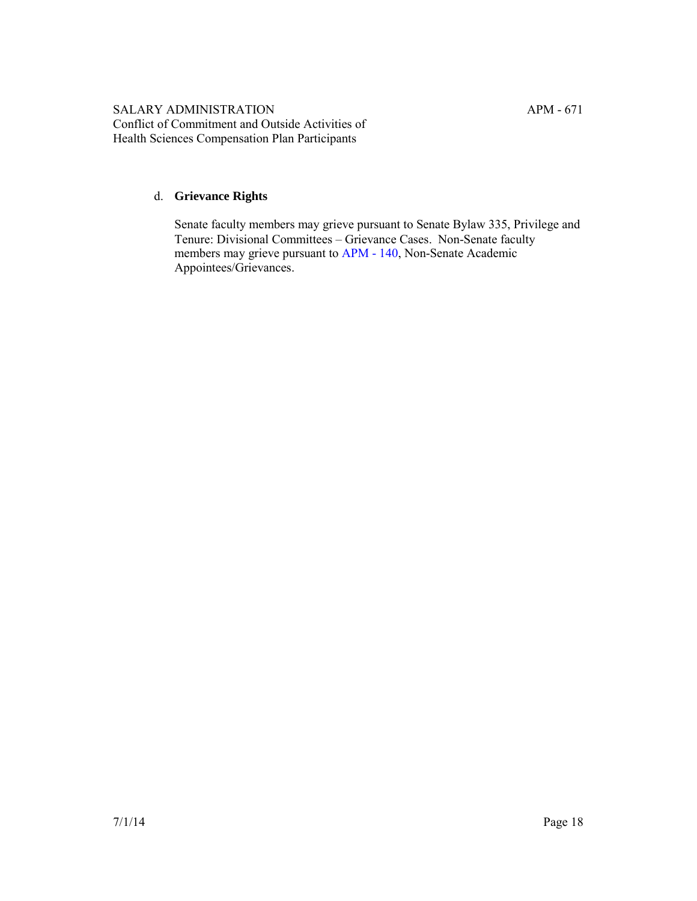# d. **Grievance Rights**

Senate faculty members may grieve pursuant to Senate Bylaw 335, Privilege and Tenure: Divisional Committees – Grievance Cases. Non-Senate faculty members may grieve pursuant to [APM - 140](http://ucop.edu/academic-personnel-programs/_files/apm/apm-140.pdf), Non-Senate Academic Appointees/Grievances.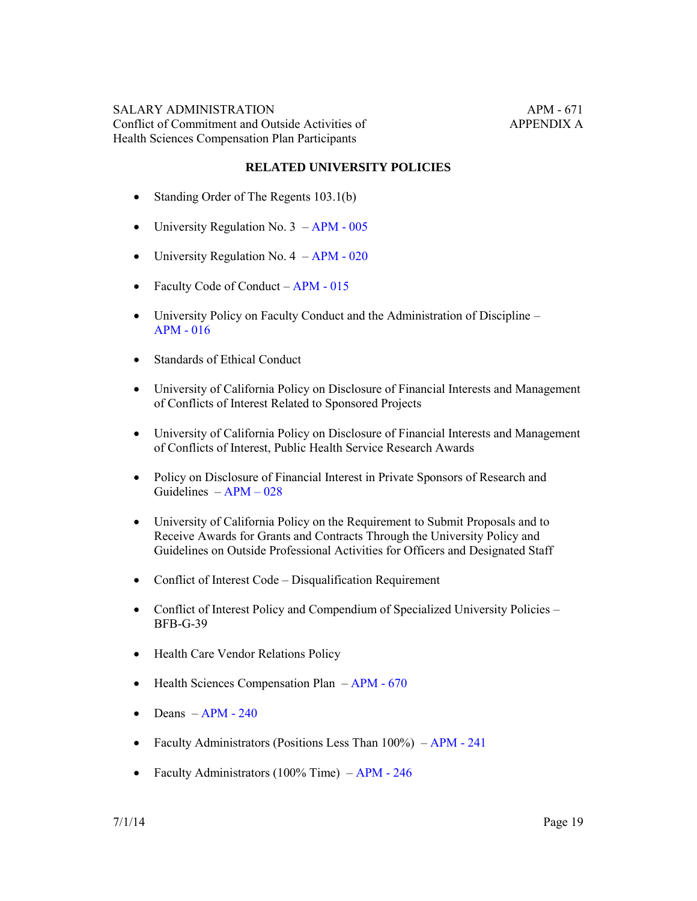#### **RELATED UNIVERSITY POLICIES**

- Standing Order of The Regents 103.1(b)
- University Regulation No.  $3 APM 005$  $3 APM 005$
- University Regulation No.  $4 APM 020$
- Faculty Code of Conduct APM 015
- University Policy on Faculty Conduct and the Administration of Discipline [APM - 016](http://ucop.edu/academic-personnel-programs/_files/apm/apm-016.pdf)
- Standards of Ethical Conduct
- University of California Policy on Disclosure of Financial Interests and Management of Conflicts of Interest Related to Sponsored Projects
- University of California Policy on Disclosure of Financial Interests and Management of Conflicts of Interest, Public Health Service Research Awards
- Policy on Disclosure of Financial Interest in Private Sponsors of Research and Guidelines – [APM – 028](http://ucop.edu/academic-personnel-programs/_files/apm/apm-028.pdf)
- University of California Policy on the Requirement to Submit Proposals and to Receive Awards for Grants and Contracts Through the University Policy and Guidelines on Outside Professional Activities for Officers and Designated Staff
- Conflict of Interest Code Disqualification Requirement
- Conflict of Interest Policy and Compendium of Specialized University Policies BFB-G-39
- Health Care Vendor Relations Policy
- $\bullet$  Health Sciences Compensation Plan APM 670
- $\bullet$  Deans  $-APM 240$
- Faculty Administrators (Positions Less Than 100%) APM 241
- Faculty Administrators (100% Time) APM 246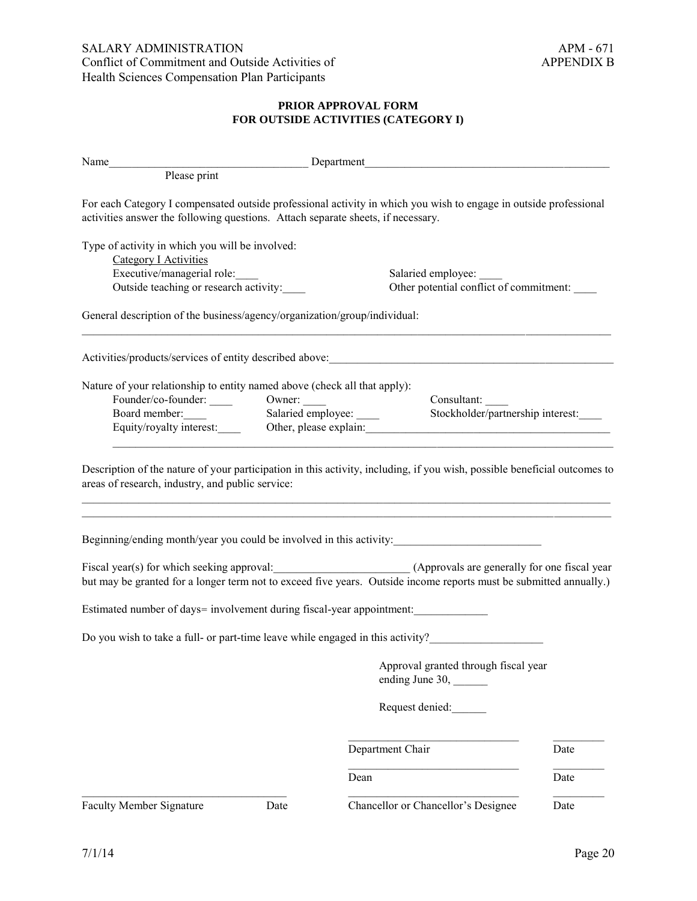# **PRIOR APPROVAL FORM FOR OUTSIDE ACTIVITIES (CATEGORY I)**

|                                                                                                                                                  | Name Please print Please print Please print Please print Please print Please print Please print Please print Please print Please print Please print Please print Please print Please print Please print Please print Please pr                                                                           |      |
|--------------------------------------------------------------------------------------------------------------------------------------------------|----------------------------------------------------------------------------------------------------------------------------------------------------------------------------------------------------------------------------------------------------------------------------------------------------------|------|
| activities answer the following questions. Attach separate sheets, if necessary.                                                                 | For each Category I compensated outside professional activity in which you wish to engage in outside professional                                                                                                                                                                                        |      |
| Type of activity in which you will be involved:<br>Category I Activities<br>Executive/managerial role:<br>Outside teaching or research activity: | Salaried employee:<br>Other potential conflict of commitment:                                                                                                                                                                                                                                            |      |
| General description of the business/agency/organization/group/individual:                                                                        |                                                                                                                                                                                                                                                                                                          |      |
|                                                                                                                                                  |                                                                                                                                                                                                                                                                                                          |      |
| Nature of your relationship to entity named above (check all that apply):<br>Board member:                                                       | Consultant:<br>Salaried employee:<br>Stockholder/partnership interest:<br>Equity/royalty interest: Other, please explain: Contact Contact Contact Contact Contact Contact Contact Contact Contact Contact Contact Contact Contact Contact Contact Contact Contact Contact Contact Contact Contact Contac |      |
| areas of research, industry, and public service:                                                                                                 | Description of the nature of your participation in this activity, including, if you wish, possible beneficial outcomes to                                                                                                                                                                                |      |
|                                                                                                                                                  | Beginning/ending month/year you could be involved in this activity:                                                                                                                                                                                                                                      |      |
|                                                                                                                                                  | Fiscal year(s) for which seeking approval: (Approvals are generally for one fiscal year<br>but may be granted for a longer term not to exceed five years. Outside income reports must be submitted annually.)                                                                                            |      |
| Estimated number of days= involvement during fiscal-year appointment:                                                                            |                                                                                                                                                                                                                                                                                                          |      |
|                                                                                                                                                  | Do you wish to take a full- or part-time leave while engaged in this activity?                                                                                                                                                                                                                           |      |
|                                                                                                                                                  | Approval granted through fiscal year<br>ending June 30, ________                                                                                                                                                                                                                                         |      |
|                                                                                                                                                  | Request denied:                                                                                                                                                                                                                                                                                          |      |
|                                                                                                                                                  | Department Chair                                                                                                                                                                                                                                                                                         | Date |
|                                                                                                                                                  | Dean                                                                                                                                                                                                                                                                                                     | Date |
| <b>Faculty Member Signature</b><br>Date                                                                                                          | Chancellor or Chancellor's Designee                                                                                                                                                                                                                                                                      | Date |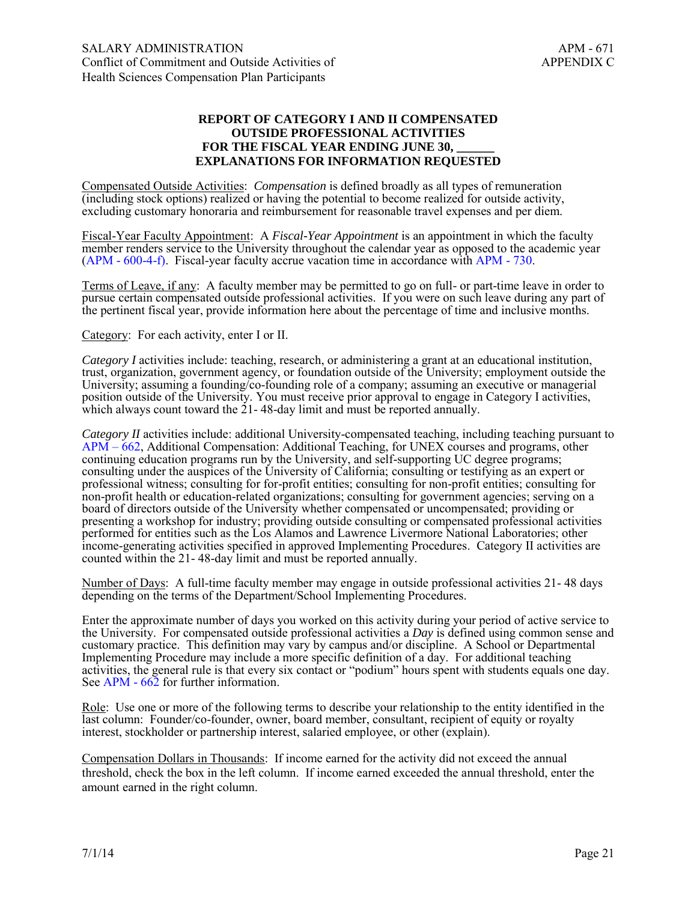## **REPORT OF CATEGORY I AND II COMPENSATED OUTSIDE PROFESSIONAL ACTIVITIES**  FOR THE FISCAL YEAR ENDING JUNE 30. **EXPLANATIONS FOR INFORMATION REQUESTED**

Compensated Outside Activities: *Compensation* is defined broadly as all types of remuneration (including stock options) realized or having the potential to become realized for outside activity, excluding customary honoraria and reimbursement for reasonable travel expenses and per diem.

Fiscal-Year Faculty Appointment: A *Fiscal-Year Appointment* is an appointment in which the faculty member renders service to the University throughout the calendar year as opposed to the academic year ([APM - 600-4-f\)](http://ucop.edu/academic-personnel-programs/_files/apm/apm-600.pdf). Fiscal-year faculty accrue vacation time in accordance with [APM - 730.](http://ucop.edu/academic-personnel-programs/_files/apm/apm-730.pdf)

Terms of Leave, if any: A faculty member may be permitted to go on full- or part-time leave in order to pursue certain compensated outside professional activities. If you were on such leave during any part of the pertinent fiscal year, provide information here about the percentage of time and inclusive months.

Category: For each activity, enter I or II.

*Category I* activities include: teaching, research, or administering a grant at an educational institution, trust, organization, government agency, or foundation outside of the University; employment outside the University; assuming a founding/co-founding role of a company; assuming an executive or managerial position outside of the University. You must receive prior approval to engage in Category I activities, which always count toward the 21-48-day limit and must be reported annually.

*Category II* activities include: additional University-compensated teaching, including teaching pursuant to [APM – 662,](http://ucop.edu/academic-personnel-programs/_files/apm/apm-662.pdf) Additional Compensation: Additional Teaching, for UNEX courses and programs, other continuing education programs run by the University, and self-supporting UC degree programs; consulting under the auspices of the University of California; consulting or testifying as an expert or professional witness; consulting for for-profit entities; consulting for non-profit entities; consulting for non-profit health or education-related organizations; consulting for government agencies; serving on a board of directors outside of the University whether compensated or uncompensated; providing or presenting a workshop for industry; providing outside consulting or compensated professional activities performed for entities such as the Los Alamos and Lawrence Livermore National Laboratories; other income-generating activities specified in approved Implementing Procedures. Category II activities are counted within the 21- 48-day limit and must be reported annually.

Number of Days: A full-time faculty member may engage in outside professional activities 21- 48 days depending on the terms of the Department/School Implementing Procedures.

Enter the approximate number of days you worked on this activity during your period of active service to the University. For compensated outside professional activities a *Day* is defined using common sense and customary practice. This definition may vary by campus and/or discipline. A School or Departmental Implementing Procedure may include a more specific definition of a day. For additional teaching activities, the general rule is that every six contact or "podium" hours spent with students equals one day. See [APM - 662](http://ucop.edu/academic-personnel-programs/_files/apm/apm-662.pdf) for further information.

Role: Use one or more of the following terms to describe your relationship to the entity identified in the last column: Founder/co-founder, owner, board member, consultant, recipient of equity or royalty interest, stockholder or partnership interest, salaried employee, or other (explain).

Compensation Dollars in Thousands: If income earned for the activity did not exceed the annual threshold, check the box in the left column. If income earned exceeded the annual threshold, enter the amount earned in the right column.